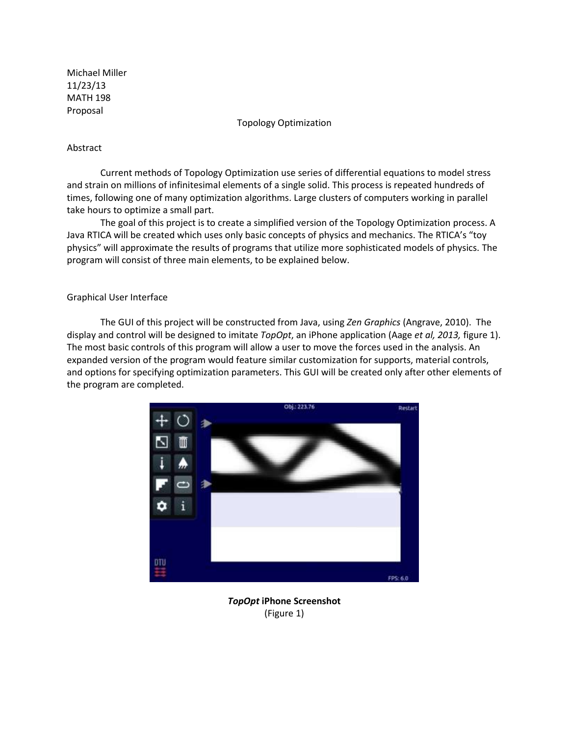Michael Miller 11/23/13 MATH 198 Proposal

Topology Optimization

## Abstract

Current methods of Topology Optimization use series of differential equations to model stress and strain on millions of infinitesimal elements of a single solid. This process is repeated hundreds of times, following one of many optimization algorithms. Large clusters of computers working in parallel take hours to optimize a small part.

The goal of this project is to create a simplified version of the Topology Optimization process. A Java RTICA will be created which uses only basic concepts of physics and mechanics. The RTICA's "toy physics" will approximate the results of programs that utilize more sophisticated models of physics. The program will consist of three main elements, to be explained below.

# Graphical User Interface

The GUI of this project will be constructed from Java, using *Zen Graphics* (Angrave, 2010). The display and control will be designed to imitate *TopOpt*, an iPhone application (Aage *et al, 2013,* figure 1). The most basic controls of this program will allow a user to move the forces used in the analysis. An expanded version of the program would feature similar customization for supports, material controls, and options for specifying optimization parameters. This GUI will be created only after other elements of the program are completed.



*TopOpt* **iPhone Screenshot** (Figure 1)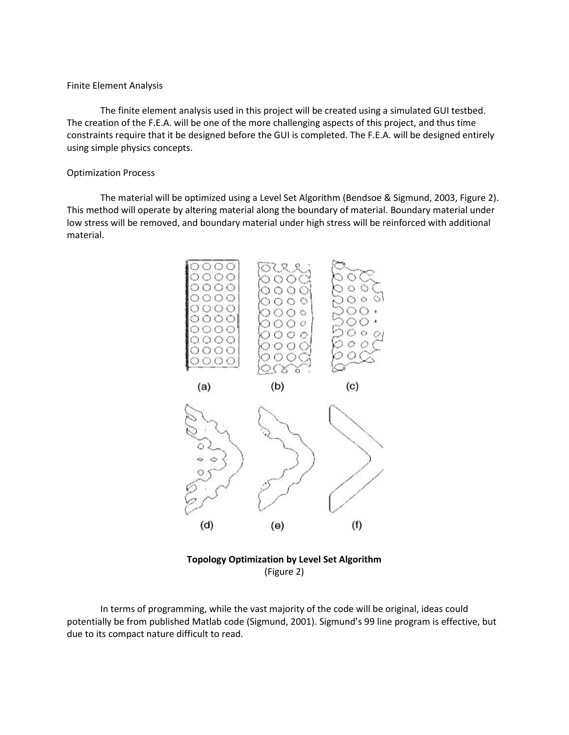### Finite Element Analysis

The finite element analysis used in this project will be created using a simulated GUI testbed. The creation of the F.E.A. will be one of the more challenging aspects of this project, and thus time constraints require that it be designed before the GUI is completed. The F.E.A. will be designed entirely using simple physics concepts.

### Optimization Process

The material will be optimized using a Level Set Algorithm (Bendsoe & Sigmund, 2003, Figure 2). This method will operate by altering material along the boundary of material. Boundary material under low stress will be removed, and boundary material under high stress will be reinforced with additional material.



**Topology Optimization by Level Set Algorithm**  (Figure 2)

In terms of programming, while the vast majority of the code will be original, ideas could potentially be from published Matlab code (Sigmund, 2001). Sigmund's 99 line program is effective, but due to its compact nature difficult to read.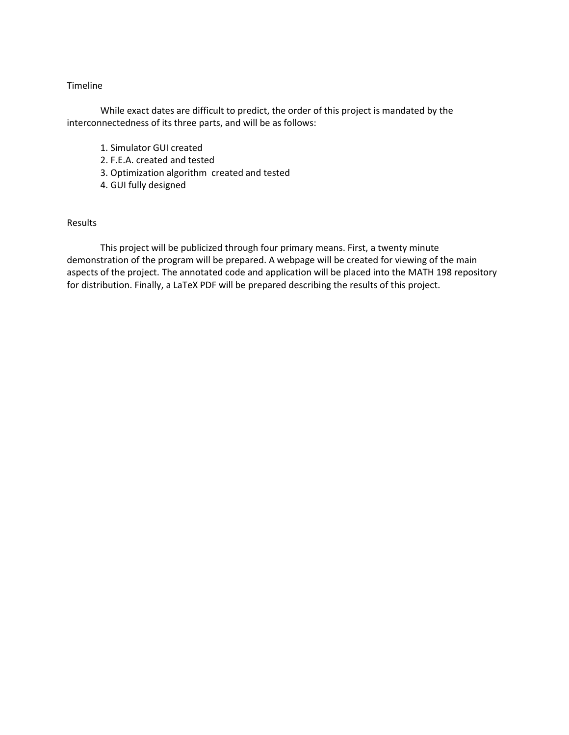### Timeline

While exact dates are difficult to predict, the order of this project is mandated by the interconnectedness of its three parts, and will be as follows:

- 1. Simulator GUI created
- 2. F.E.A. created and tested
- 3. Optimization algorithm created and tested
- 4. GUI fully designed

## Results

This project will be publicized through four primary means. First, a twenty minute demonstration of the program will be prepared. A webpage will be created for viewing of the main aspects of the project. The annotated code and application will be placed into the MATH 198 repository for distribution. Finally, a LaTeX PDF will be prepared describing the results of this project.